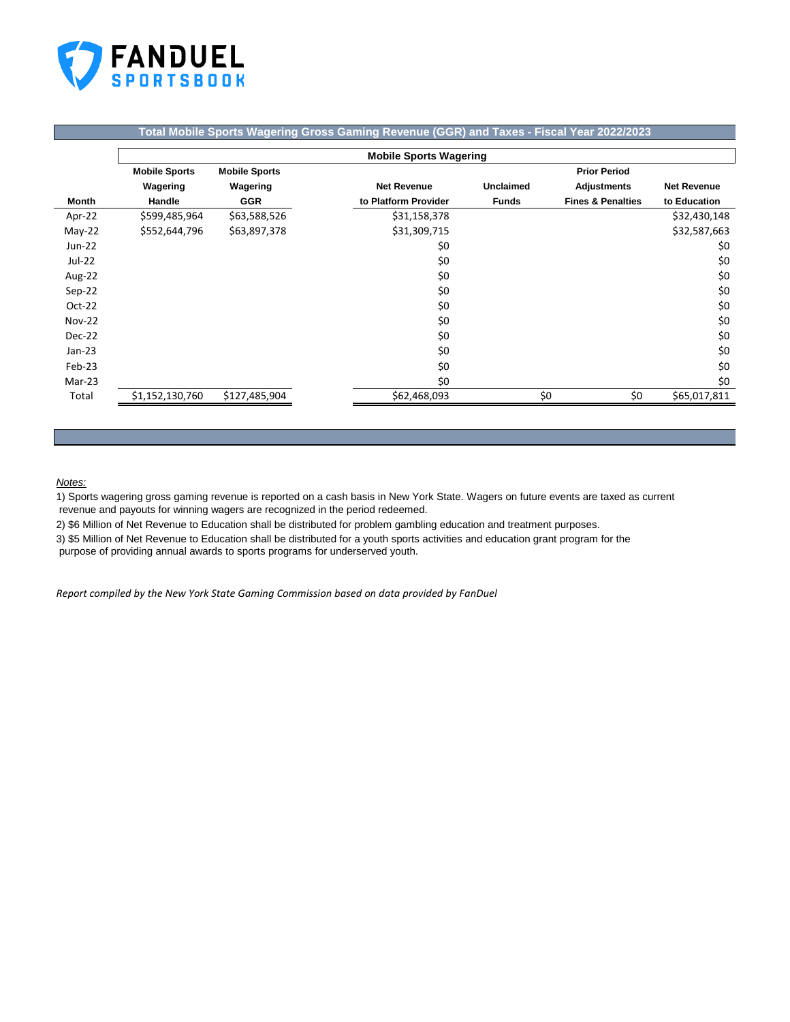

## **Total Mobile Sports Wagering Gross Gaming Revenue (GGR) and Taxes - Fiscal Year 2022/2023**

|               | <b>Mobile Sports Wagering</b> |                      |  |                      |                     |                              |                    |  |  |
|---------------|-------------------------------|----------------------|--|----------------------|---------------------|------------------------------|--------------------|--|--|
|               | <b>Mobile Sports</b>          | <b>Mobile Sports</b> |  |                      | <b>Prior Period</b> |                              |                    |  |  |
|               | Wagering                      | Wagering             |  | <b>Net Revenue</b>   | <b>Unclaimed</b>    | <b>Adjustments</b>           | <b>Net Revenue</b> |  |  |
| Month         | Handle                        | <b>GGR</b>           |  | to Platform Provider | <b>Funds</b>        | <b>Fines &amp; Penalties</b> | to Education       |  |  |
| Apr-22        | \$599,485,964                 | \$63,588,526         |  | \$31,158,378         |                     |                              | \$32,430,148       |  |  |
| $May-22$      | \$552,644,796                 | \$63,897,378         |  | \$31,309,715         |                     |                              | \$32,587,663       |  |  |
| Jun-22        |                               |                      |  | \$0                  |                     |                              | \$0                |  |  |
| Jul-22        |                               |                      |  | \$0                  |                     |                              | \$0                |  |  |
| Aug-22        |                               |                      |  | \$0                  |                     |                              | \$0                |  |  |
| Sep-22        |                               |                      |  | \$0                  |                     |                              | \$0                |  |  |
| $Oct-22$      |                               |                      |  | \$0                  |                     |                              | \$0                |  |  |
| <b>Nov-22</b> |                               |                      |  | \$0                  |                     |                              | \$0                |  |  |
| Dec-22        |                               |                      |  | \$0                  |                     |                              | \$0                |  |  |
| $Jan-23$      |                               |                      |  | \$0                  |                     |                              | \$0                |  |  |
| Feb-23        |                               |                      |  | \$0                  |                     |                              | \$0                |  |  |
| $Mar-23$      |                               |                      |  | \$0                  |                     |                              | \$0                |  |  |
| Total         | \$1,152,130,760               | \$127,485,904        |  | \$62,468,093         |                     | \$0<br>\$0                   | \$65,017,811       |  |  |

## *Notes:*

1) Sports wagering gross gaming revenue is reported on a cash basis in New York State. Wagers on future events are taxed as current revenue and payouts for winning wagers are recognized in the period redeemed.

2) \$6 Million of Net Revenue to Education shall be distributed for problem gambling education and treatment purposes.

3) \$5 Million of Net Revenue to Education shall be distributed for a youth sports activities and education grant program for the

purpose of providing annual awards to sports programs for underserved youth.

*Report compiled by the New York State Gaming Commission based on data provided by FanDuel*